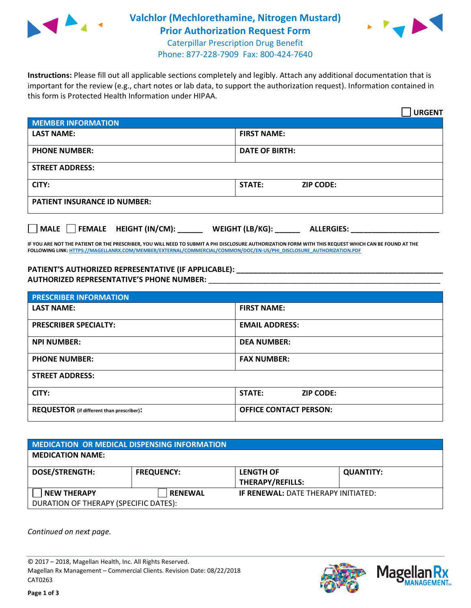

## **Valchlor (Mechlorethamine, Nitrogen Mustard) Prior Authorization Request Form**



Caterpillar Prescription Drug Benefit Phone: 877-228-7909 Fax: 800-424-7640

**Instructions:** Please fill out all applicable sections completely and legibly. Attach any additional documentation that is important for the review (e.g., chart notes or lab data, to support the authorization request). Information contained in this form is Protected Health Information under HIPAA.

|                                       | <b>URGENT</b>                        |  |
|---------------------------------------|--------------------------------------|--|
| <b>MEMBER INFORMATION</b>             |                                      |  |
| <b>LAST NAME:</b>                     | <b>FIRST NAME:</b>                   |  |
| <b>PHONE NUMBER:</b>                  | <b>DATE OF BIRTH:</b>                |  |
| <b>STREET ADDRESS:</b>                |                                      |  |
| CITY:                                 | <b>STATE:</b><br><b>ZIP CODE:</b>    |  |
| <b>PATIENT INSURANCE ID NUMBER:</b>   |                                      |  |
| FEMALE HEIGHT (IN/CM):<br><b>MALE</b> | WEIGHT (LB/KG):<br><b>ALLERGIES:</b> |  |

**IF YOU ARE NOT THE PATIENT OR THE PRESCRIBER, YOU WILL NEED TO SUBMIT A PHI DISCLOSURE AUTHORIZATION FORM WITH THIS REQUEST WHICH CAN BE FOUND AT THE FOLLOWING LINK[: HTTPS://MAGELLANRX.COM/MEMBER/EXTERNAL/COMMERCIAL/COMMON/DOC/EN-US/PHI\\_DISCLOSURE\\_AUTHORIZATION.PDF](https://magellanrx.com/member/external/commercial/common/doc/en-us/PHI_Disclosure_Authorization.pdf)**

**PATIENT'S AUTHORIZED REPRESENTATIVE (IF APPLICABLE): \_\_\_\_\_\_\_\_\_\_\_\_\_\_\_\_\_\_\_\_\_\_\_\_\_\_\_\_\_\_\_\_\_\_\_\_\_\_\_\_\_\_\_\_\_\_\_\_\_ AUTHORIZED REPRESENTATIVE'S PHONE NUMBER:** \_\_\_\_\_\_\_\_\_\_\_\_\_\_\_\_\_\_\_\_\_\_\_\_\_\_\_\_\_\_\_\_\_\_\_\_\_\_\_\_\_\_\_\_\_\_\_\_\_\_\_\_\_\_\_

| <b>PRESCRIBER INFORMATION</b>             |                               |  |  |  |
|-------------------------------------------|-------------------------------|--|--|--|
| <b>LAST NAME:</b>                         | <b>FIRST NAME:</b>            |  |  |  |
| <b>PRESCRIBER SPECIALTY:</b>              | <b>EMAIL ADDRESS:</b>         |  |  |  |
| <b>NPI NUMBER:</b>                        | <b>DEA NUMBER:</b>            |  |  |  |
| <b>PHONE NUMBER:</b>                      | <b>FAX NUMBER:</b>            |  |  |  |
| <b>STREET ADDRESS:</b>                    |                               |  |  |  |
| CITY:                                     | STATE:<br><b>ZIP CODE:</b>    |  |  |  |
| REQUESTOR (if different than prescriber): | <b>OFFICE CONTACT PERSON:</b> |  |  |  |

| MEDICATION OR MEDICAL DISPENSING INFORMATION |                   |                                            |                  |  |  |
|----------------------------------------------|-------------------|--------------------------------------------|------------------|--|--|
| <b>MEDICATION NAME:</b>                      |                   |                                            |                  |  |  |
| <b>DOSE/STRENGTH:</b>                        | <b>FREQUENCY:</b> | <b>LENGTH OF</b>                           | <b>QUANTITY:</b> |  |  |
|                                              |                   | <b>THERAPY/REFILLS:</b>                    |                  |  |  |
| <b>NEW THERAPY</b>                           | <b>RENEWAL</b>    | <b>IF RENEWAL: DATE THERAPY INITIATED:</b> |                  |  |  |
| DURATION OF THERAPY (SPECIFIC DATES):        |                   |                                            |                  |  |  |

*Continued on next page.*

© 2017 – 2018, Magellan Health, Inc. All Rights Reserved. Magellan Rx Management – Commercial Clients. Revision Date: 08/22/2018 CAT0263



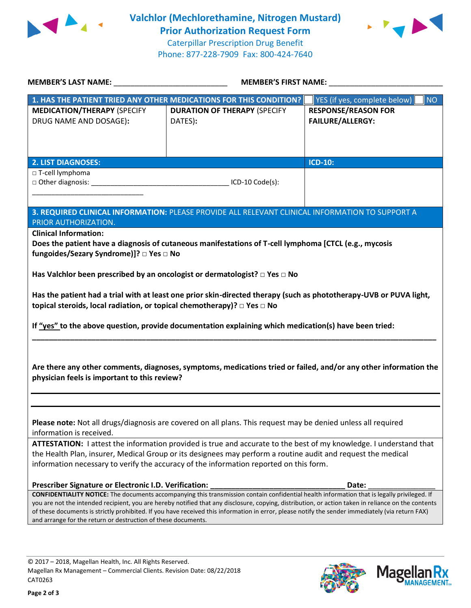



| MEMBER'S LAST NAME: NAME: NAME AND A SERIES OF THE SERIES OF THE SERIES OF THE SERIES OF THE SERIES OF THE SERIES OF THE SERIES OF THE SERIES OF THE SERIES OF THE SERIES OF THE SERIES OF THE SERIES OF THE SERIES OF THE SER                                                                                                                                                                                                                                                                                          | <b>MEMBER'S FIRST NAME:</b>                                                                     |                                                       |  |  |  |
|-------------------------------------------------------------------------------------------------------------------------------------------------------------------------------------------------------------------------------------------------------------------------------------------------------------------------------------------------------------------------------------------------------------------------------------------------------------------------------------------------------------------------|-------------------------------------------------------------------------------------------------|-------------------------------------------------------|--|--|--|
|                                                                                                                                                                                                                                                                                                                                                                                                                                                                                                                         | 1. HAS THE PATIENT TRIED ANY OTHER MEDICATIONS FOR THIS CONDITION?                              | YES (if yes, complete below)<br><b>NO</b>             |  |  |  |
| <b>MEDICATION/THERAPY (SPECIFY</b><br>DRUG NAME AND DOSAGE):                                                                                                                                                                                                                                                                                                                                                                                                                                                            | <b>DURATION OF THERAPY (SPECIFY</b><br>DATES):                                                  | <b>RESPONSE/REASON FOR</b><br><b>FAILURE/ALLERGY:</b> |  |  |  |
| <b>2. LIST DIAGNOSES:</b>                                                                                                                                                                                                                                                                                                                                                                                                                                                                                               |                                                                                                 | <b>ICD-10:</b>                                        |  |  |  |
| □ T-cell lymphoma                                                                                                                                                                                                                                                                                                                                                                                                                                                                                                       |                                                                                                 |                                                       |  |  |  |
| PRIOR AUTHORIZATION.                                                                                                                                                                                                                                                                                                                                                                                                                                                                                                    | 3. REQUIRED CLINICAL INFORMATION: PLEASE PROVIDE ALL RELEVANT CLINICAL INFORMATION TO SUPPORT A |                                                       |  |  |  |
| <b>Clinical Information:</b><br>Does the patient have a diagnosis of cutaneous manifestations of T-cell lymphoma [CTCL (e.g., mycosis<br>fungoides/Sezary Syndrome)]? □ Yes □ No<br>Has Valchlor been prescribed by an oncologist or dermatologist? $\Box$ Yes $\Box$ No                                                                                                                                                                                                                                                |                                                                                                 |                                                       |  |  |  |
|                                                                                                                                                                                                                                                                                                                                                                                                                                                                                                                         |                                                                                                 |                                                       |  |  |  |
| Has the patient had a trial with at least one prior skin-directed therapy (such as phototherapy-UVB or PUVA light,<br>topical steroids, local radiation, or topical chemotherapy)? □ Yes □ No<br>If "yes" to the above question, provide documentation explaining which medication(s) have been tried:                                                                                                                                                                                                                  |                                                                                                 |                                                       |  |  |  |
| Are there any other comments, diagnoses, symptoms, medications tried or failed, and/or any other information the<br>physician feels is important to this review?                                                                                                                                                                                                                                                                                                                                                        |                                                                                                 |                                                       |  |  |  |
|                                                                                                                                                                                                                                                                                                                                                                                                                                                                                                                         |                                                                                                 |                                                       |  |  |  |
| Please note: Not all drugs/diagnosis are covered on all plans. This request may be denied unless all required<br>information is received.                                                                                                                                                                                                                                                                                                                                                                               |                                                                                                 |                                                       |  |  |  |
| ATTESTATION: I attest the information provided is true and accurate to the best of my knowledge. I understand that<br>the Health Plan, insurer, Medical Group or its designees may perform a routine audit and request the medical<br>information necessary to verify the accuracy of the information reported on this form.                                                                                                                                                                                            |                                                                                                 |                                                       |  |  |  |
| Prescriber Signature or Electronic I.D. Verification:                                                                                                                                                                                                                                                                                                                                                                                                                                                                   |                                                                                                 | Date:                                                 |  |  |  |
| CONFIDENTIALITY NOTICE: The documents accompanying this transmission contain confidential health information that is legally privileged. If<br>you are not the intended recipient, you are hereby notified that any disclosure, copying, distribution, or action taken in reliance on the contents<br>of these documents is strictly prohibited. If you have received this information in error, please notify the sender immediately (via return FAX)<br>and arrange for the return or destruction of these documents. |                                                                                                 |                                                       |  |  |  |

**Page 2 of 3**